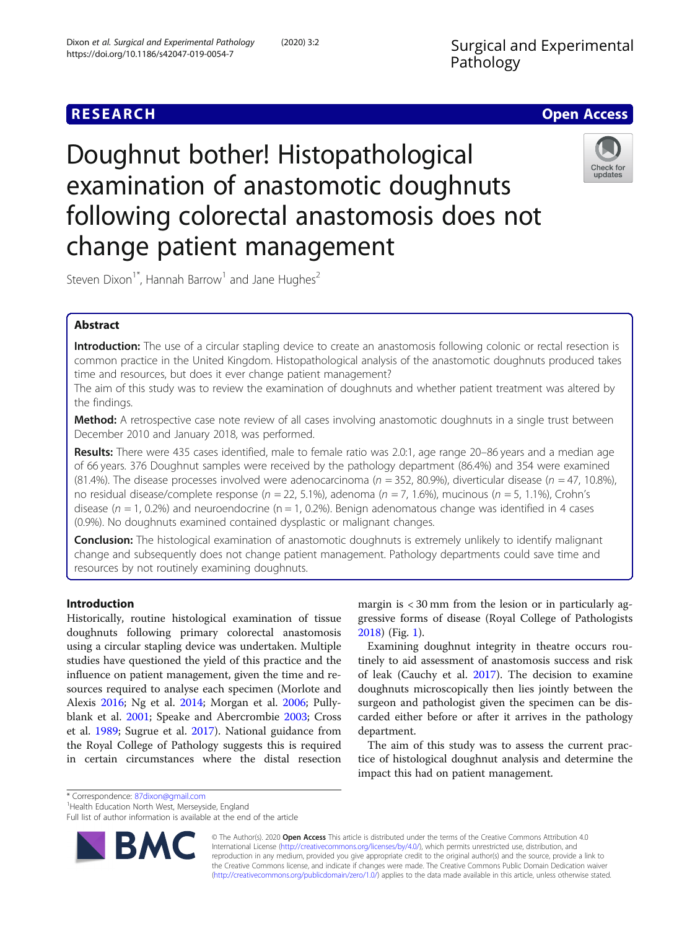# **RESEARCH CHE Open Access**

# Doughnut bother! Histopathological examination of anastomotic doughnuts following colorectal anastomosis does not change patient management



Steven Dixon<sup>1</sup><sup>\*</sup>, Hannah Barrow<sup>1</sup> and Jane Hughes<sup>2</sup>

# Abstract

Introduction: The use of a circular stapling device to create an anastomosis following colonic or rectal resection is common practice in the United Kingdom. Histopathological analysis of the anastomotic doughnuts produced takes time and resources, but does it ever change patient management?

The aim of this study was to review the examination of doughnuts and whether patient treatment was altered by the findings.

Method: A retrospective case note review of all cases involving anastomotic doughnuts in a single trust between December 2010 and January 2018, was performed.

Results: There were 435 cases identified, male to female ratio was 2.0:1, age range 20–86 years and a median age of 66 years. 376 Doughnut samples were received by the pathology department (86.4%) and 354 were examined (81.4%). The disease processes involved were adenocarcinoma ( $n = 352$ , 80.9%), diverticular disease ( $n = 47$ , 10.8%), no residual disease/complete response ( $n = 22, 5.1\%$ ), adenoma ( $n = 7, 1.6\%$ ), mucinous ( $n = 5, 1.1\%$ ), Crohn's disease ( $n = 1$ , 0.2%) and neuroendocrine ( $n = 1$ , 0.2%). Benign adenomatous change was identified in 4 cases (0.9%). No doughnuts examined contained dysplastic or malignant changes.

**Conclusion:** The histological examination of anastomotic doughnuts is extremely unlikely to identify malignant change and subsequently does not change patient management. Pathology departments could save time and resources by not routinely examining doughnuts.

# Introduction

Historically, routine histological examination of tissue doughnuts following primary colorectal anastomosis using a circular stapling device was undertaken. Multiple studies have questioned the yield of this practice and the influence on patient management, given the time and resources required to analyse each specimen (Morlote and Alexis [2016;](#page-3-0) Ng et al. [2014;](#page-3-0) Morgan et al. [2006](#page-3-0); Pullyblank et al. [2001](#page-3-0); Speake and Abercrombie [2003](#page-3-0); Cross et al. [1989;](#page-3-0) Sugrue et al. [2017\)](#page-3-0). National guidance from the Royal College of Pathology suggests this is required in certain circumstances where the distal resection

margin is < 30 mm from the lesion or in particularly aggressive forms of disease (Royal College of Pathologists [2018](#page-3-0)) (Fig. [1](#page-2-0)).

Examining doughnut integrity in theatre occurs routinely to aid assessment of anastomosis success and risk of leak (Cauchy et al. [2017](#page-3-0)). The decision to examine doughnuts microscopically then lies jointly between the surgeon and pathologist given the specimen can be discarded either before or after it arrives in the pathology department.

The aim of this study was to assess the current practice of histological doughnut analysis and determine the impact this had on patient management.

\* Correspondence: [87dixon@gmail.com](mailto:87dixon@gmail.com) <sup>1</sup>

<sup>1</sup> Health Education North West, Merseyside, England

Full list of author information is available at the end of the article



© The Author(s). 2020 Open Access This article is distributed under the terms of the Creative Commons Attribution 4.0 International License [\(http://creativecommons.org/licenses/by/4.0/](http://creativecommons.org/licenses/by/4.0/)), which permits unrestricted use, distribution, and reproduction in any medium, provided you give appropriate credit to the original author(s) and the source, provide a link to the Creative Commons license, and indicate if changes were made. The Creative Commons Public Domain Dedication waiver [\(http://creativecommons.org/publicdomain/zero/1.0/](http://creativecommons.org/publicdomain/zero/1.0/)) applies to the data made available in this article, unless otherwise stated.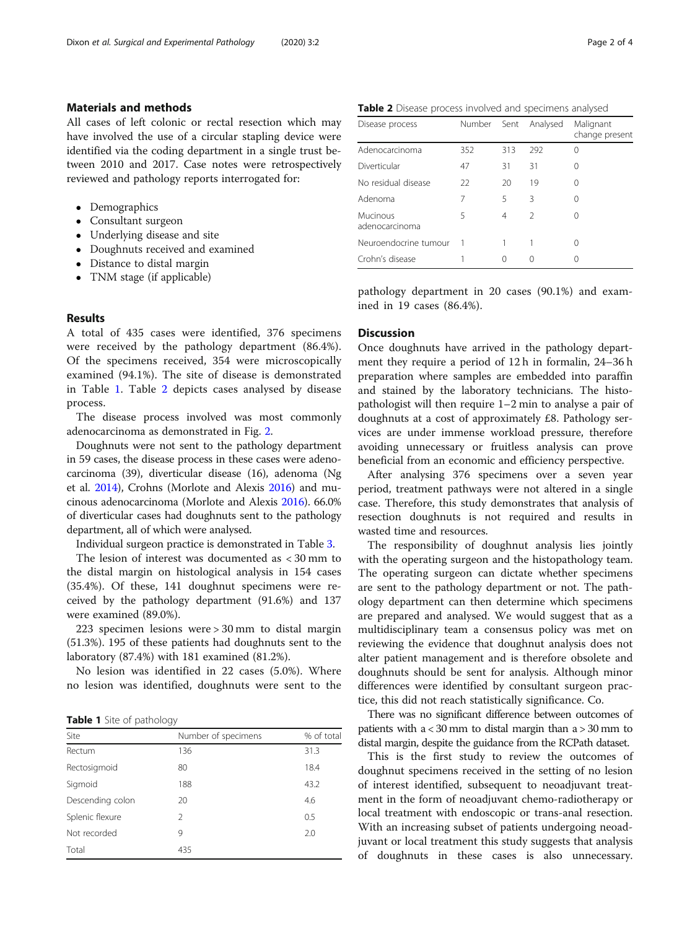#### Materials and methods

All cases of left colonic or rectal resection which may have involved the use of a circular stapling device were identified via the coding department in a single trust between 2010 and 2017. Case notes were retrospectively reviewed and pathology reports interrogated for:

- Demographics
- Consultant surgeon
- Underlying disease and site
- Doughnuts received and examined
- Distance to distal margin
- TNM stage (if applicable)

#### Results

A total of 435 cases were identified, 376 specimens were received by the pathology department (86.4%). Of the specimens received, 354 were microscopically examined (94.1%). The site of disease is demonstrated in Table 1. Table 2 depicts cases analysed by disease process.

The disease process involved was most commonly adenocarcinoma as demonstrated in Fig. [2](#page-2-0).

Doughnuts were not sent to the pathology department in 59 cases, the disease process in these cases were adenocarcinoma (39), diverticular disease (16), adenoma (Ng et al. [2014\)](#page-3-0), Crohns (Morlote and Alexis [2016](#page-3-0)) and mucinous adenocarcinoma (Morlote and Alexis [2016\)](#page-3-0). 66.0% of diverticular cases had doughnuts sent to the pathology department, all of which were analysed.

Individual surgeon practice is demonstrated in Table [3](#page-2-0).

The lesion of interest was documented as < 30 mm to the distal margin on histological analysis in 154 cases (35.4%). Of these, 141 doughnut specimens were received by the pathology department (91.6%) and 137 were examined (89.0%).

223 specimen lesions were > 30 mm to distal margin (51.3%). 195 of these patients had doughnuts sent to the laboratory (87.4%) with 181 examined (81.2%).

No lesion was identified in 22 cases (5.0%). Where no lesion was identified, doughnuts were sent to the

**Table 1** Site of pathology

| Site             | Number of specimens | % of total |  |
|------------------|---------------------|------------|--|
| Rectum           | 136                 | 31.3       |  |
| Rectosigmoid     | 80                  | 18.4       |  |
| Sigmoid          | 188                 | 43.2       |  |
| Descending colon | 20                  | 4.6        |  |
| Splenic flexure  | 2                   | 0.5        |  |
| Not recorded     | 9                   | 2.0        |  |
| Total            | 435                 |            |  |

Table 2 Disease process involved and specimens analysed

| Disease process            | Number | Sent | Analysed      | Malignant<br>change present |
|----------------------------|--------|------|---------------|-----------------------------|
| Adenocarcinoma             | 352    | 313  | 292           | $\left( \right)$            |
| Diverticular               | 47     | 31   | 31            | $\left( \right)$            |
| No residual disease        | 22     | 20   | 19            |                             |
| Adenoma                    | 7      | 5    | 3             | 0                           |
| Mucinous<br>adenocarcinoma | 5      | 4    | $\mathcal{L}$ |                             |
| Neuroendocrine tumour      |        |      |               |                             |
| Crohn's disease            |        | Ω    |               |                             |

pathology department in 20 cases (90.1%) and examined in 19 cases (86.4%).

#### **Discussion**

Once doughnuts have arrived in the pathology department they require a period of 12 h in formalin, 24–36 h preparation where samples are embedded into paraffin and stained by the laboratory technicians. The histopathologist will then require 1–2 min to analyse a pair of doughnuts at a cost of approximately £8. Pathology services are under immense workload pressure, therefore avoiding unnecessary or fruitless analysis can prove beneficial from an economic and efficiency perspective.

After analysing 376 specimens over a seven year period, treatment pathways were not altered in a single case. Therefore, this study demonstrates that analysis of resection doughnuts is not required and results in wasted time and resources.

The responsibility of doughnut analysis lies jointly with the operating surgeon and the histopathology team. The operating surgeon can dictate whether specimens are sent to the pathology department or not. The pathology department can then determine which specimens are prepared and analysed. We would suggest that as a multidisciplinary team a consensus policy was met on reviewing the evidence that doughnut analysis does not alter patient management and is therefore obsolete and doughnuts should be sent for analysis. Although minor differences were identified by consultant surgeon practice, this did not reach statistically significance. Co.

There was no significant difference between outcomes of patients with  $a < 30$  mm to distal margin than  $a > 30$  mm to distal margin, despite the guidance from the RCPath dataset.

This is the first study to review the outcomes of doughnut specimens received in the setting of no lesion of interest identified, subsequent to neoadjuvant treatment in the form of neoadjuvant chemo-radiotherapy or local treatment with endoscopic or trans-anal resection. With an increasing subset of patients undergoing neoadjuvant or local treatment this study suggests that analysis of doughnuts in these cases is also unnecessary.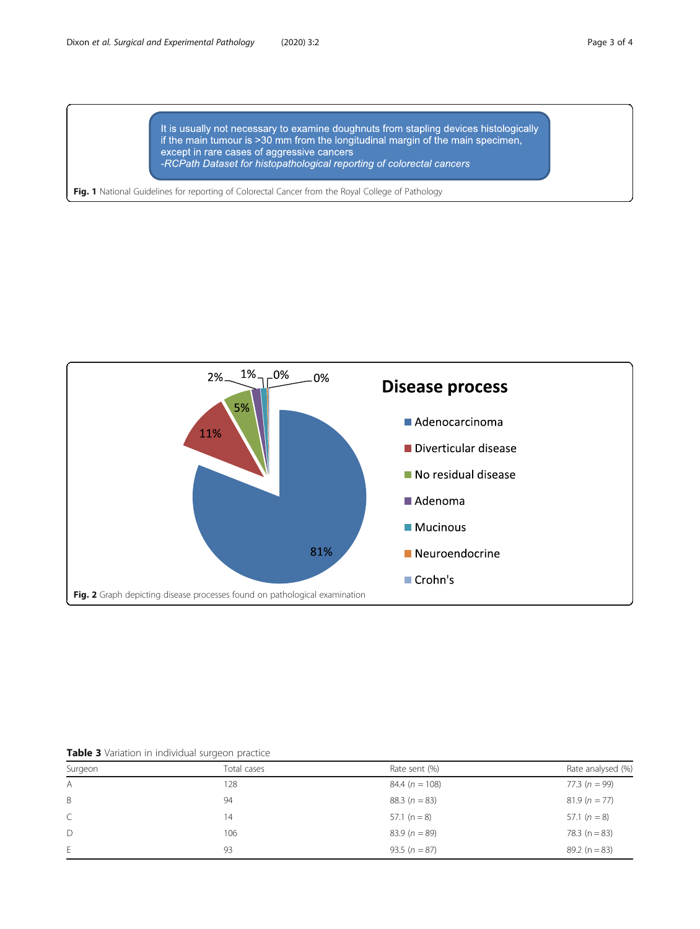It is usually not necessary to examine doughnuts from stapling devices histologically if the main tumour is >30 mm from the longitudinal margin of the main specimen, except in rare cases of aggressive cancers -RCPath Dataset for histopathological reporting of colorectal cancers

<span id="page-2-0"></span>Fig. 1 National Guidelines for reporting of Colorectal Cancer from the Royal College of Pathology



| Table 3 Variation in individual surgeon practice |  |  |  |
|--------------------------------------------------|--|--|--|
|                                                  |  |  |  |

| Surgeon      | Total cases | Rate sent (%)     | Rate analysed (%) |  |
|--------------|-------------|-------------------|-------------------|--|
| $\mathsf{A}$ | 128         | $84.4(n = 108)$   | 77.3 $(n = 99)$   |  |
| B            | 94          | 88.3 $(n = 83)$   | $81.9(n = 77)$    |  |
| $\subset$    | 14          | 57.1 ( $n = 8$ )  | 57.1 $(n = 8)$    |  |
| D            | 106         | $83.9(n = 89)$    | 78.3 ( $n = 83$ ) |  |
| E            | 93          | 93.5 ( $n = 87$ ) | $89.2(n = 83)$    |  |